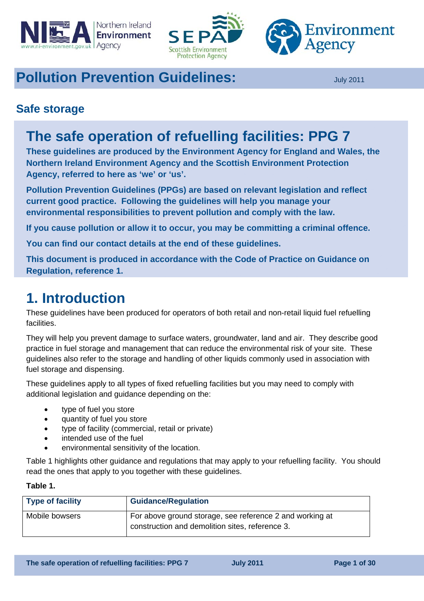





# **Pollution Prevention Guidelines: July 2011**

## **Safe storage**

# **The safe operation of refuelling facilities: PPG 7**

**These guidelines are produced by the Environment Agency for England and Wales, the Northern Ireland Environment Agency and the Scottish Environment Protection Agency, referred to here as 'we' or 'us'.** 

**Pollution Prevention Guidelines (PPGs) are based on relevant legislation and reflect current good practice. Following the guidelines will help you manage your environmental responsibilities to prevent pollution and comply with the law.** 

**If you cause pollution or allow it to occur, you may be committing a criminal offence.** 

**You can find our contact details at the end of these guidelines.** 

**This document is produced in accordance with the Code of Practice on Guidance on Regulation, reference 1.** 

# **1. Introduction**

These guidelines have been produced for operators of both retail and non-retail liquid fuel refuelling facilities.

They will help you prevent damage to surface waters, groundwater, land and air. They describe good practice in fuel storage and management that can reduce the environmental risk of your site. These guidelines also refer to the storage and handling of other liquids commonly used in association with fuel storage and dispensing.

These guidelines apply to all types of fixed refuelling facilities but you may need to comply with additional legislation and guidance depending on the:

- type of fuel you store
- quantity of fuel you store
- type of facility (commercial, retail or private)
- intended use of the fuel
- environmental sensitivity of the location.

Table 1 highlights other guidance and regulations that may apply to your refuelling facility. You should read the ones that apply to you together with these guidelines.

#### **Table 1.**

| <b>Type of facility</b> | <b>Guidance/Regulation</b>                                                                                  |
|-------------------------|-------------------------------------------------------------------------------------------------------------|
| Mobile bowsers          | For above ground storage, see reference 2 and working at<br>construction and demolition sites, reference 3. |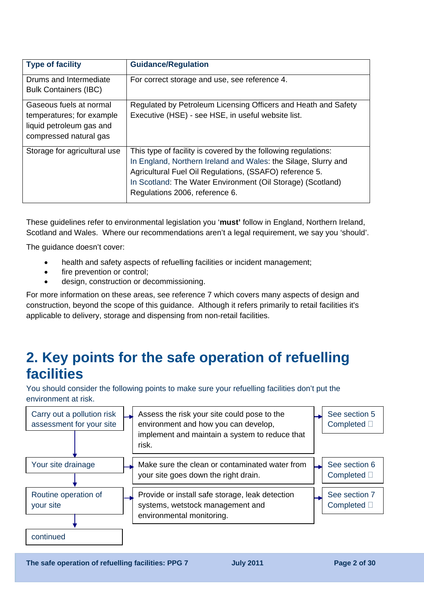| <b>Type of facility</b>                                                                                    | <b>Guidance/Regulation</b>                                                                                                                                                                                                                                                                   |
|------------------------------------------------------------------------------------------------------------|----------------------------------------------------------------------------------------------------------------------------------------------------------------------------------------------------------------------------------------------------------------------------------------------|
| Drums and Intermediate<br><b>Bulk Containers (IBC)</b>                                                     | For correct storage and use, see reference 4.                                                                                                                                                                                                                                                |
| Gaseous fuels at normal<br>temperatures; for example<br>liquid petroleum gas and<br>compressed natural gas | Regulated by Petroleum Licensing Officers and Heath and Safety<br>Executive (HSE) - see HSE, in useful website list.                                                                                                                                                                         |
| Storage for agricultural use                                                                               | This type of facility is covered by the following regulations:<br>In England, Northern Ireland and Wales: the Silage, Slurry and<br>Agricultural Fuel Oil Regulations, (SSAFO) reference 5.<br>In Scotland: The Water Environment (Oil Storage) (Scotland)<br>Regulations 2006, reference 6. |

These guidelines refer to environmental legislation you '**must'** follow in England, Northern Ireland, Scotland and Wales. Where our recommendations aren't a legal requirement, we say you 'should'.

The guidance doesn't cover:

- health and safety aspects of refuelling facilities or incident management;
- fire prevention or control:
- design, construction or decommissioning.

For more information on these areas, see reference 7 which covers many aspects of design and construction, beyond the scope of this guidance. Although it refers primarily to retail facilities it's applicable to delivery, storage and dispensing from non-retail facilities.

# **2. Key points for the safe operation of refuelling facilities**

You should consider the following points to make sure your refuelling facilities don't put the environment at risk.



**The safe operation of refuelling facilities: PPG 7**  $\qquad$  **July 2011 Page 2 of 30 Page 2 of 30**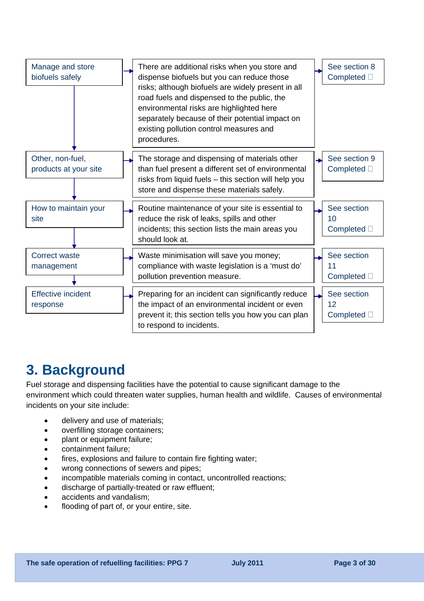

# **3. Background**

Fuel storage and dispensing facilities have the potential to cause significant damage to the environment which could threaten water supplies, human health and wildlife. Causes of environmental incidents on your site include:

- delivery and use of materials;
- overfilling storage containers;
- plant or equipment failure:
- containment failure;
- fires. explosions and failure to contain fire fighting water;
- wrong connections of sewers and pipes;
- incompatible materials coming in contact, uncontrolled reactions;
- discharge of partially-treated or raw effluent;
- accidents and vandalism;
- flooding of part of, or your entire, site.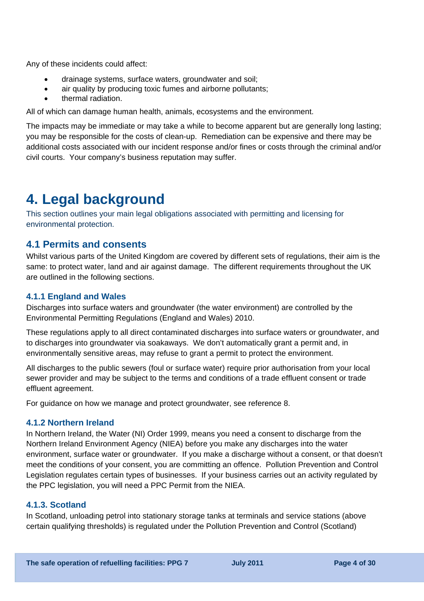Any of these incidents could affect:

- drainage systems, surface waters, groundwater and soil;
- air quality by producing toxic fumes and airborne pollutants;
- thermal radiation.

All of which can damage human health, animals, ecosystems and the environment.

The impacts may be immediate or may take a while to become apparent but are generally long lasting; you may be responsible for the costs of clean-up. Remediation can be expensive and there may be additional costs associated with our incident response and/or fines or costs through the criminal and/or civil courts. Your company's business reputation may suffer.

# **4. Legal background**

This section outlines your main legal obligations associated with permitting and licensing for environmental protection.

### **4.1 Permits and consents**

Whilst various parts of the United Kingdom are covered by different sets of regulations, their aim is the same: to protect water, land and air against damage. The different requirements throughout the UK are outlined in the following sections.

#### **4.1.1 England and Wales**

Discharges into surface waters and groundwater (the water environment) are controlled by the Environmental Permitting Regulations (England and Wales) 2010.

These regulations apply to all direct contaminated discharges into surface waters or groundwater, and to discharges into groundwater via soakaways. We don't automatically grant a permit and, in environmentally sensitive areas, may refuse to grant a permit to protect the environment.

All discharges to the public sewers (foul or surface water) require prior authorisation from your local sewer provider and may be subject to the terms and conditions of a trade effluent consent or trade effluent agreement.

For guidance on how we manage and protect groundwater, see reference 8.

#### **4.1.2 Northern Ireland**

In Northern Ireland, the Water (NI) Order 1999, means you need a consent to discharge from the Northern Ireland Environment Agency (NIEA) before you make any discharges into the water environment, surface water or groundwater. If you make a discharge without a consent, or that doesn't meet the conditions of your consent, you are committing an offence. Pollution Prevention and Control Legislation regulates certain types of businesses. If your business carries out an activity regulated by the PPC legislation, you will need a PPC Permit from the NIEA.

#### **4.1.3. Scotland**

In Scotland, unloading petrol into stationary storage tanks at terminals and service stations (above certain qualifying thresholds) is regulated under the Pollution Prevention and Control (Scotland)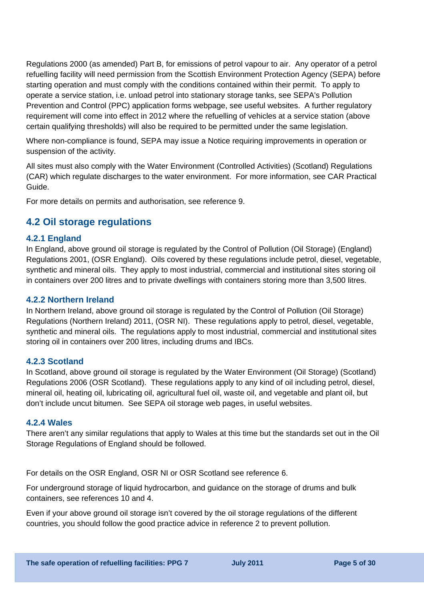Regulations 2000 (as amended) Part B, for emissions of petrol vapour to air. Any operator of a petrol refuelling facility will need permission from the Scottish Environment Protection Agency (SEPA) before starting operation and must comply with the conditions contained within their permit. To apply to operate a service station, i.e. unload petrol into stationary storage tanks, see SEPA's Pollution Prevention and Control (PPC) application forms webpage, see useful websites. A further regulatory requirement will come into effect in 2012 where the refuelling of vehicles at a service station (above certain qualifying thresholds) will also be required to be permitted under the same legislation.

Where non-compliance is found, SEPA may issue a Notice requiring improvements in operation or suspension of the activity.

All sites must also comply with the Water Environment (Controlled Activities) (Scotland) Regulations (CAR) which regulate discharges to the water environment. For more information, see CAR Practical Guide.

For more details on permits and authorisation, see reference 9.

## **4.2 Oil storage regulations**

#### **4.2.1 England**

In England, above ground oil storage is regulated by the Control of Pollution (Oil Storage) (England) Regulations 2001, (OSR England). Oils covered by these regulations include petrol, diesel, vegetable, synthetic and mineral oils. They apply to most industrial, commercial and institutional sites storing oil in containers over 200 litres and to private dwellings with containers storing more than 3,500 litres.

#### **4.2.2 Northern Ireland**

In Northern Ireland, above ground oil storage is regulated by the Control of Pollution (Oil Storage) Regulations (Northern Ireland) 2011, (OSR NI). These regulations apply to petrol, diesel, vegetable, synthetic and mineral oils. The regulations apply to most industrial, commercial and institutional sites storing oil in containers over 200 litres, including drums and IBCs.

#### **4.2.3 Scotland**

In Scotland, above ground oil storage is regulated by the Water Environment (Oil Storage) (Scotland) Regulations 2006 (OSR Scotland). These regulations apply to any kind of oil including petrol, diesel, mineral oil, heating oil, lubricating oil, agricultural fuel oil, waste oil, and vegetable and plant oil, but don't include uncut bitumen. See SEPA oil storage web pages, in useful websites.

#### **4.2.4 Wales**

There aren't any similar regulations that apply to Wales at this time but the standards set out in the Oil Storage Regulations of England should be followed.

For details on the OSR England, OSR NI or OSR Scotland see reference 6.

For underground storage of liquid hydrocarbon, and guidance on the storage of drums and bulk containers, see references 10 and 4.

Even if your above ground oil storage isn't covered by the oil storage regulations of the different countries, you should follow the good practice advice in reference 2 to prevent pollution.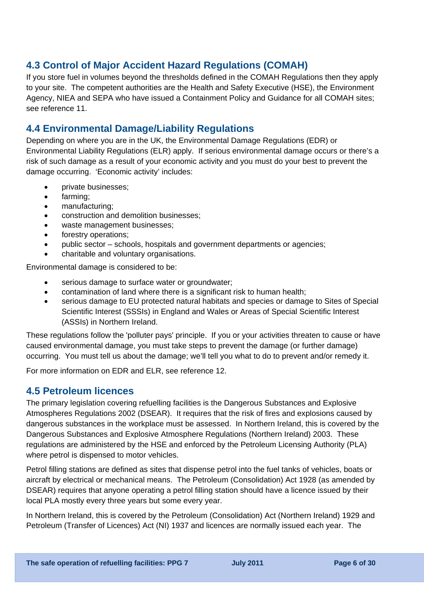## **4.3 Control of Major Accident Hazard Regulations (COMAH)**

If you store fuel in volumes beyond the thresholds defined in the COMAH Regulations then they apply to your site. The competent authorities are the Health and Safety Executive (HSE), the Environment Agency, NIEA and SEPA who have issued a Containment Policy and Guidance for all COMAH sites; see reference 11.

## **4.4 Environmental Damage/Liability Regulations**

Depending on where you are in the UK, the Environmental Damage Regulations (EDR) or Environmental Liability Regulations (ELR) apply. If serious environmental damage occurs or there's a risk of such damage as a result of your economic activity and you must do your best to prevent the damage occurring. 'Economic activity' includes:

- private businesses;
- farming;
- manufacturing;
- construction and demolition businesses;
- waste management businesses;
- forestry operations;
- public sector schools, hospitals and government departments or agencies;
- charitable and voluntary organisations.

Environmental damage is considered to be:

- serious damage to surface water or groundwater;
- contamination of land where there is a significant risk to human health;
- serious damage to EU protected natural habitats and species or damage to Sites of Special Scientific Interest (SSSIs) in England and Wales or Areas of Special Scientific Interest (ASSIs) in Northern Ireland.

These regulations follow the 'polluter pays' principle. If you or your activities threaten to cause or have caused environmental damage, you must take steps to prevent the damage (or further damage) occurring. You must tell us about the damage; we'll tell you what to do to prevent and/or remedy it.

For more information on EDR and ELR, see reference 12.

### **4.5 Petroleum licences**

The primary legislation covering refuelling facilities is the Dangerous Substances and Explosive Atmospheres Regulations 2002 (DSEAR). It requires that the risk of fires and explosions caused by dangerous substances in the workplace must be assessed. In Northern Ireland, this is covered by the Dangerous Substances and Explosive Atmosphere Regulations (Northern Ireland) 2003. These regulations are administered by the HSE and enforced by the Petroleum Licensing Authority (PLA) where petrol is dispensed to motor vehicles.

Petrol filling stations are defined as sites that dispense petrol into the fuel tanks of vehicles, boats or aircraft by electrical or mechanical means. The Petroleum (Consolidation) Act 1928 (as amended by DSEAR) requires that anyone operating a petrol filling station should have a licence issued by their local PLA mostly every three years but some every year.

In Northern Ireland, this is covered by the Petroleum (Consolidation) Act (Northern Ireland) 1929 and Petroleum (Transfer of Licences) Act (NI) 1937 and licences are normally issued each year. The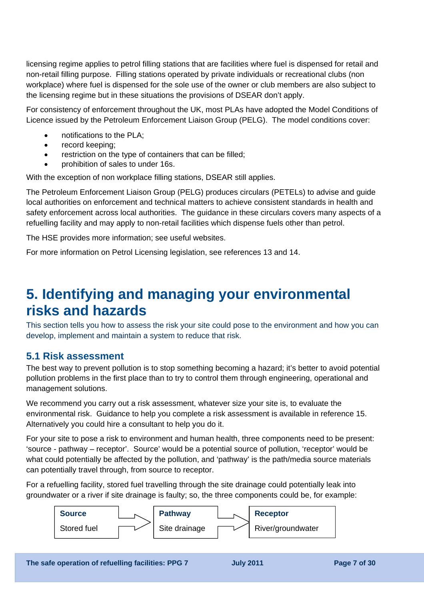licensing regime applies to petrol filling stations that are facilities where fuel is dispensed for retail and non-retail filling purpose. Filling stations operated by private individuals or recreational clubs (non workplace) where fuel is dispensed for the sole use of the owner or club members are also subject to the licensing regime but in these situations the provisions of DSEAR don't apply.

For consistency of enforcement throughout the UK, most PLAs have adopted the Model Conditions of Licence issued by the Petroleum Enforcement Liaison Group (PELG). The model conditions cover:

- notifications to the PLA;
- record keeping;
- restriction on the type of containers that can be filled;
- prohibition of sales to under 16s.

With the exception of non workplace filling stations, DSEAR still applies.

The Petroleum Enforcement Liaison Group (PELG) produces circulars (PETELs) to advise and guide local authorities on enforcement and technical matters to achieve consistent standards in health and safety enforcement across local authorities. The guidance in these circulars covers many aspects of a refuelling facility and may apply to non-retail facilities which dispense fuels other than petrol.

The HSE provides more information; see useful websites.

For more information on Petrol Licensing legislation, see references 13 and 14.

# **5. Identifying and managing your environmental risks and hazards**

This section tells you how to assess the risk your site could pose to the environment and how you can develop, implement and maintain a system to reduce that risk.

### **5.1 Risk assessment**

The best way to prevent pollution is to stop something becoming a hazard; it's better to avoid potential pollution problems in the first place than to try to control them through engineering, operational and management solutions.

We recommend you carry out a risk assessment, whatever size your site is, to evaluate the environmental risk. Guidance to help you complete a risk assessment is available in reference 15. Alternatively you could hire a consultant to help you do it.

For your site to pose a risk to environment and human health, three components need to be present: 'source - pathway – receptor'. Source' would be a potential source of pollution, 'receptor' would be what could potentially be affected by the pollution, and 'pathway' is the path/media source materials can potentially travel through, from source to receptor.

For a refuelling facility, stored fuel travelling through the site drainage could potentially leak into groundwater or a river if site drainage is faulty; so, the three components could be, for example:

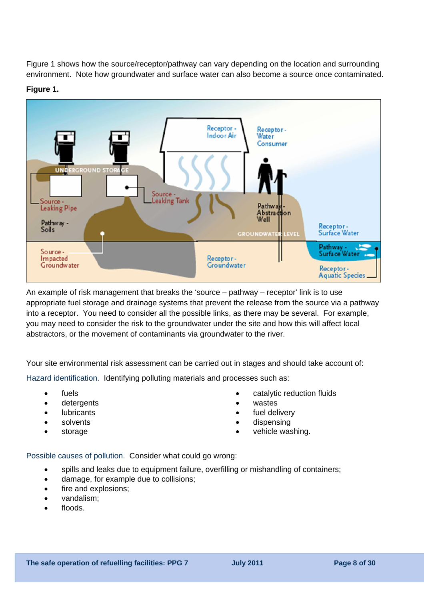Figure 1 shows how the source/receptor/pathway can vary depending on the location and surrounding environment. Note how groundwater and surface water can also become a source once contaminated.

#### **Figure 1.**



An example of risk management that breaks the 'source – pathway – receptor' link is to use appropriate fuel storage and drainage systems that prevent the release from the source via a pathway into a receptor. You need to consider all the possible links, as there may be several. For example, you may need to consider the risk to the groundwater under the site and how this will affect local abstractors, or the movement of contaminants via groundwater to the river.

Your site environmental risk assessment can be carried out in stages and should take account of:

Hazard identification. Identifying polluting materials and processes such as:

- fuels
- detergents
- lubricants
- solvents
- storage
- catalytic reduction fluids
- wastes
- fuel delivery
- dispensing
- vehicle washing.

Possible causes of pollution. Consider what could go wrong:

- spills and leaks due to equipment failure, overfilling or mishandling of containers;
- damage, for example due to collisions;
- fire and explosions:
- vandalism;
- floods.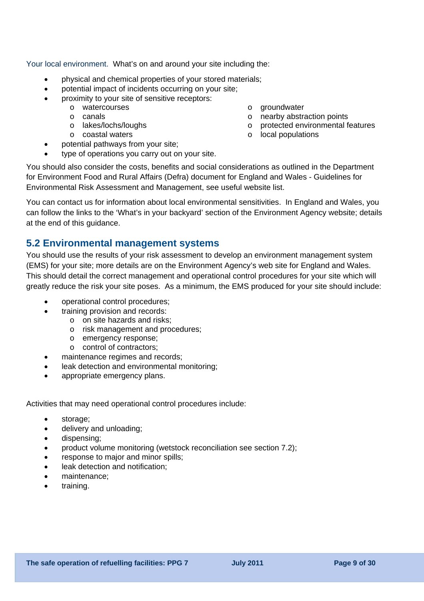Your local environment. What's on and around your site including the:

- physical and chemical properties of your stored materials;
- potential impact of incidents occurring on your site;
- proximity to your site of sensitive receptors:
	- o watercourses
		- o canals
	- o lakes/lochs/loughs
		- o coastal waters
- potential pathways from your site;
- type of operations you carry out on your site.

You should also consider the costs, benefits and social considerations as outlined in the Department for Environment Food and Rural Affairs (Defra) document for England and Wales - Guidelines for Environmental Risk Assessment and Management, see useful website list.

o groundwater

o local populations

o nearby abstraction points

o protected environmental features

You can contact us for information about local environmental sensitivities. In England and Wales, you can follow the links to the 'What's in your backyard' section of the Environment Agency website; details at the end of this guidance.

### **5.2 Environmental management systems**

You should use the results of your risk assessment to develop an environment management system (EMS) for your site; more details are on the Environment Agency's web site for England and Wales. This should detail the correct management and operational control procedures for your site which will greatly reduce the risk your site poses. As a minimum, the EMS produced for your site should include:

- operational control procedures;
- training provision and records:
	- o on site hazards and risks;
	- o risk management and procedures;
	- o emergency response;
	- o control of contractors;
- maintenance regimes and records;
- leak detection and environmental monitoring;
- appropriate emergency plans.

Activities that may need operational control procedures include:

- storage;
- delivery and unloading;
- dispensing;
- product volume monitoring (wetstock reconciliation see section 7.2);
- response to major and minor spills;
- leak detection and notification:
- maintenance;
- training.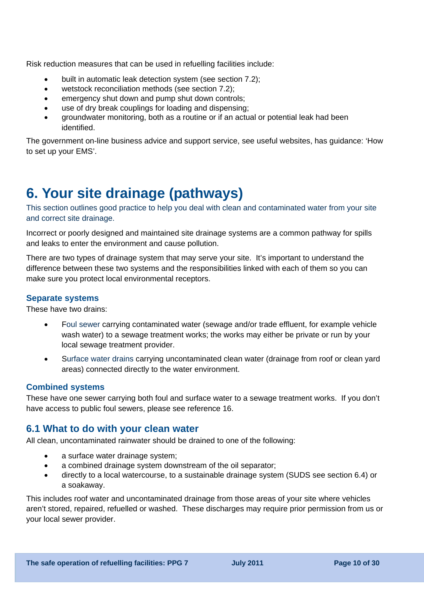Risk reduction measures that can be used in refuelling facilities include:

- built in automatic leak detection system (see section 7.2);
- wetstock reconciliation methods (see section 7.2);
- emergency shut down and pump shut down controls;
- use of dry break couplings for loading and dispensing;
- groundwater monitoring, both as a routine or if an actual or potential leak had been identified.

The government on-line business advice and support service, see useful websites, has guidance: 'How to set up your EMS'.

# **6. Your site drainage (pathways)**

This section outlines good practice to help you deal with clean and contaminated water from your site and correct site drainage.

Incorrect or poorly designed and maintained site drainage systems are a common pathway for spills and leaks to enter the environment and cause pollution.

There are two types of drainage system that may serve your site. It's important to understand the difference between these two systems and the responsibilities linked with each of them so you can make sure you protect local environmental receptors.

#### **Separate systems**

These have two drains:

- Foul sewer carrying contaminated water (sewage and/or trade effluent, for example vehicle wash water) to a sewage treatment works; the works may either be private or run by your local sewage treatment provider.
- Surface water drains carrying uncontaminated clean water (drainage from roof or clean yard areas) connected directly to the water environment.

#### **Combined systems**

These have one sewer carrying both foul and surface water to a sewage treatment works. If you don't have access to public foul sewers, please see reference 16.

### **6.1 What to do with your clean water**

All clean, uncontaminated rainwater should be drained to one of the following:

- a surface water drainage system;
- a combined drainage system downstream of the oil separator;
- directly to a local watercourse, to a sustainable drainage system (SUDS see section 6.4) or a soakaway.

This includes roof water and uncontaminated drainage from those areas of your site where vehicles aren't stored, repaired, refuelled or washed. These discharges may require prior permission from us or your local sewer provider.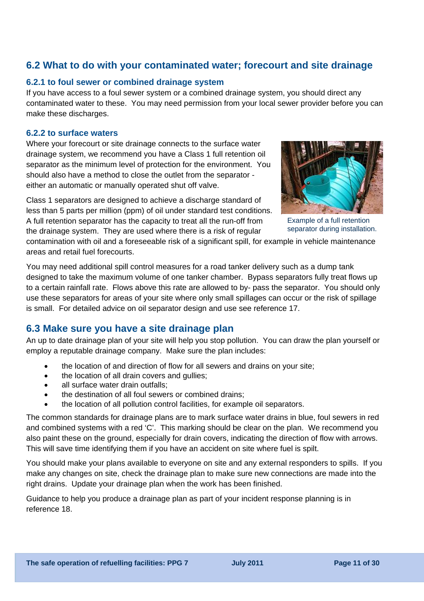### **6.2 What to do with your contaminated water; forecourt and site drainage**

#### **6.2.1 to foul sewer or combined drainage system**

If you have access to a foul sewer system or a combined drainage system, you should direct any contaminated water to these. You may need permission from your local sewer provider before you can make these discharges.

#### **6.2.2 to surface waters**

Where your forecourt or site drainage connects to the surface water drainage system, we recommend you have a Class 1 full retention oil separator as the minimum level of protection for the environment. You should also have a method to close the outlet from the separator either an automatic or manually operated shut off valve.

Class 1 separators are designed to achieve a discharge standard of less than 5 parts per million (ppm) of oil under standard test conditions. A full retention separator has the capacity to treat all the run-off from the drainage system. They are used where there is a risk of regular



Example of a full retention separator during installation.

contamination with oil and a foreseeable risk of a significant spill, for example in vehicle maintenance areas and retail fuel forecourts.

You may need additional spill control measures for a road tanker delivery such as a dump tank designed to take the maximum volume of one tanker chamber. Bypass separators fully treat flows up to a certain rainfall rate. Flows above this rate are allowed to by- pass the separator. You should only use these separators for areas of your site where only small spillages can occur or the risk of spillage is small. For detailed advice on oil separator design and use see reference 17.

### **6.3 Make sure you have a site drainage plan**

An up to date drainage plan of your site will help you stop pollution. You can draw the plan yourself or employ a reputable drainage company. Make sure the plan includes:

- the location of and direction of flow for all sewers and drains on your site;
- the location of all drain covers and gullies;
- all surface water drain outfalls:
- the destination of all foul sewers or combined drains:
- the location of all pollution control facilities, for example oil separators.

The common standards for drainage plans are to mark surface water drains in blue, foul sewers in red and combined systems with a red 'C'. This marking should be clear on the plan. We recommend you also paint these on the ground, especially for drain covers, indicating the direction of flow with arrows. This will save time identifying them if you have an accident on site where fuel is spilt.

You should make your plans available to everyone on site and any external responders to spills. If you make any changes on site, check the drainage plan to make sure new connections are made into the right drains. Update your drainage plan when the work has been finished.

Guidance to help you produce a drainage plan as part of your incident response planning is in reference 18.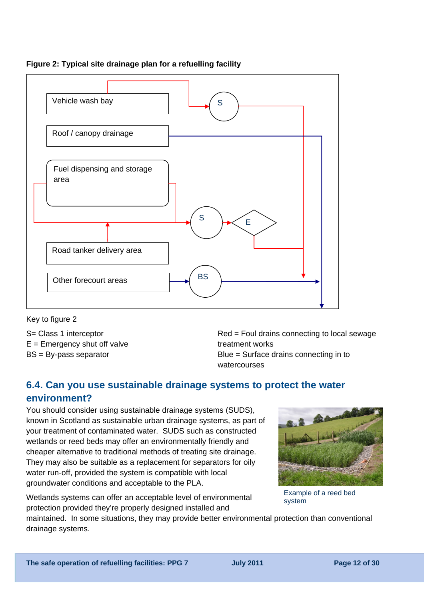

#### **Figure 2: Typical site drainage plan for a refuelling facility**

Key to figure 2

S= Class 1 interceptor  $E =$  Emergency shut off valve BS = By-pass separator

Red = Foul drains connecting to local sewage treatment works Blue = Surface drains connecting in to watercourses

## **6.4. Can you use sustainable drainage systems to protect the water environment?**

You should consider using sustainable drainage systems (SUDS), known in Scotland as sustainable urban drainage systems, as part of your treatment of contaminated water. SUDS such as constructed wetlands or reed beds may offer an environmentally friendly and cheaper alternative to traditional methods of treating site drainage. They may also be suitable as a replacement for separators for oily water run-off, provided the system is compatible with local groundwater conditions and acceptable to the PLA.

Wetlands systems can offer an acceptable level of environmental protection provided they're properly designed installed and



Example of a reed bed system

maintained. In some situations, they may provide better environmental protection than conventional drainage systems.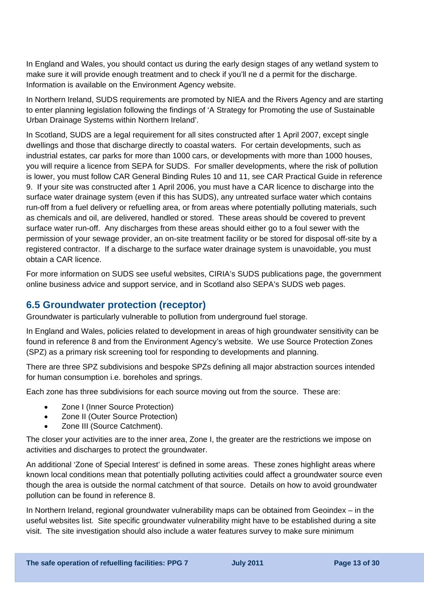In England and Wales, you should contact us during the early design stages of any wetland system to make sure it will provide enough treatment and to check if you'll ne d a permit for the discharge. Information is available on the Environment Agency website.

In Northern Ireland, SUDS requirements are promoted by NIEA and the Rivers Agency and are starting to enter planning legislation following the findings of 'A Strategy for Promoting the use of Sustainable Urban Drainage Systems within Northern Ireland'.

In Scotland, SUDS are a legal requirement for all sites constructed after 1 April 2007, except single dwellings and those that discharge directly to coastal waters. For certain developments, such as industrial estates, car parks for more than 1000 cars, or developments with more than 1000 houses, you will require a licence from SEPA for SUDS. For smaller developments, where the risk of pollution is lower, you must follow CAR General Binding Rules 10 and 11, see CAR Practical Guide in reference 9. If your site was constructed after 1 April 2006, you must have a CAR licence to discharge into the surface water drainage system (even if this has SUDS), any untreated surface water which contains run-off from a fuel delivery or refuelling area, or from areas where potentially polluting materials, such as chemicals and oil, are delivered, handled or stored. These areas should be covered to prevent surface water run-off. Any discharges from these areas should either go to a foul sewer with the permission of your sewage provider, an on-site treatment facility or be stored for disposal off-site by a registered contractor. If a discharge to the surface water drainage system is unavoidable, you must obtain a CAR licence.

For more information on SUDS see useful websites, CIRIA's SUDS publications page, the government online business advice and support service, and in Scotland also SEPA's SUDS web pages.

### **6.5 Groundwater protection (receptor)**

Groundwater is particularly vulnerable to pollution from underground fuel storage.

In England and Wales, policies related to development in areas of high groundwater sensitivity can be found in reference 8 and from the Environment Agency's website. We use Source Protection Zones (SPZ) as a primary risk screening tool for responding to developments and planning.

There are three SPZ subdivisions and bespoke SPZs defining all major abstraction sources intended for human consumption i.e. boreholes and springs.

Each zone has three subdivisions for each source moving out from the source. These are:

- Zone I (Inner Source Protection)
- Zone II (Outer Source Protection)
- Zone III (Source Catchment).

The closer your activities are to the inner area, Zone I, the greater are the restrictions we impose on activities and discharges to protect the groundwater.

An additional 'Zone of Special Interest' is defined in some areas. These zones highlight areas where known local conditions mean that potentially polluting activities could affect a groundwater source even though the area is outside the normal catchment of that source. Details on how to avoid groundwater pollution can be found in reference 8.

In Northern Ireland, regional groundwater vulnerability maps can be obtained from Geoindex – in the useful websites list. Site specific groundwater vulnerability might have to be established during a site visit. The site investigation should also include a water features survey to make sure minimum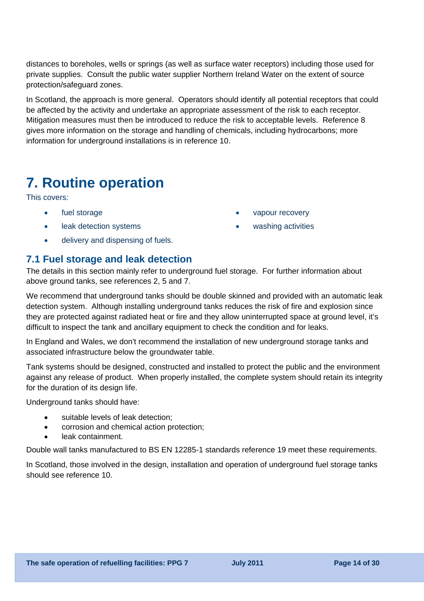distances to boreholes, wells or springs (as well as surface water receptors) including those used for private supplies. Consult the public water supplier Northern Ireland Water on the extent of source protection/safeguard zones.

In Scotland, the approach is more general. Operators should identify all potential receptors that could be affected by the activity and undertake an appropriate assessment of the risk to each receptor. Mitigation measures must then be introduced to reduce the risk to acceptable levels. Reference 8 gives more information on the storage and handling of chemicals, including hydrocarbons; more information for underground installations is in reference 10.

## **7. Routine operation**

This covers:

- fuel storage
- leak detection systems
- delivery and dispensing of fuels.

### **7.1 Fuel storage and leak detection**

The details in this section mainly refer to underground fuel storage. For further information about above ground tanks, see references 2, 5 and 7.

We recommend that underground tanks should be double skinned and provided with an automatic leak detection system. Although installing underground tanks reduces the risk of fire and explosion since they are protected against radiated heat or fire and they allow uninterrupted space at ground level, it's difficult to inspect the tank and ancillary equipment to check the condition and for leaks.

In England and Wales, we don't recommend the installation of new underground storage tanks and associated infrastructure below the groundwater table.

Tank systems should be designed, constructed and installed to protect the public and the environment against any release of product. When properly installed, the complete system should retain its integrity for the duration of its design life.

Underground tanks should have:

- suitable levels of leak detection;
- corrosion and chemical action protection;
- leak containment.

Double wall tanks manufactured to BS EN 12285-1 standards reference 19 meet these requirements.

In Scotland, those involved in the design, installation and operation of underground fuel storage tanks should see reference 10.

- vapour recovery
- washing activities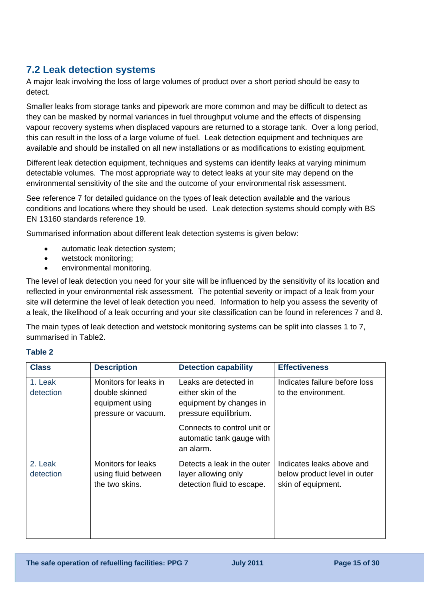## **7.2 Leak detection systems**

A major leak involving the loss of large volumes of product over a short period should be easy to detect.

Smaller leaks from storage tanks and pipework are more common and may be difficult to detect as they can be masked by normal variances in fuel throughput volume and the effects of dispensing vapour recovery systems when displaced vapours are returned to a storage tank. Over a long period, this can result in the loss of a large volume of fuel. Leak detection equipment and techniques are available and should be installed on all new installations or as modifications to existing equipment.

Different leak detection equipment, techniques and systems can identify leaks at varying minimum detectable volumes. The most appropriate way to detect leaks at your site may depend on the environmental sensitivity of the site and the outcome of your environmental risk assessment.

See reference 7 for detailed guidance on the types of leak detection available and the various conditions and locations where they should be used. Leak detection systems should comply with BS EN 13160 standards reference 19.

Summarised information about different leak detection systems is given below:

- automatic leak detection system;
- wetstock monitoring;
- environmental monitoring.

The level of leak detection you need for your site will be influenced by the sensitivity of its location and reflected in your environmental risk assessment. The potential severity or impact of a leak from your site will determine the level of leak detection you need. Information to help you assess the severity of a leak, the likelihood of a leak occurring and your site classification can be found in references 7 and 8.

The main types of leak detection and wetstock monitoring systems can be split into classes 1 to 7, summarised in Table2.

#### **Table 2**

| <b>Class</b>         | <b>Description</b>                                                                | <b>Detection capability</b>                                                                                                                                              | <b>Effectiveness</b>                                                            |
|----------------------|-----------------------------------------------------------------------------------|--------------------------------------------------------------------------------------------------------------------------------------------------------------------------|---------------------------------------------------------------------------------|
| 1. Leak<br>detection | Monitors for leaks in<br>double skinned<br>equipment using<br>pressure or vacuum. | Leaks are detected in<br>either skin of the<br>equipment by changes in<br>pressure equilibrium.<br>Connects to control unit or<br>automatic tank gauge with<br>an alarm. | Indicates failure before loss<br>to the environment.                            |
| 2. Leak<br>detection | <b>Monitors for leaks</b><br>using fluid between<br>the two skins.                | Detects a leak in the outer<br>layer allowing only<br>detection fluid to escape.                                                                                         | Indicates leaks above and<br>below product level in outer<br>skin of equipment. |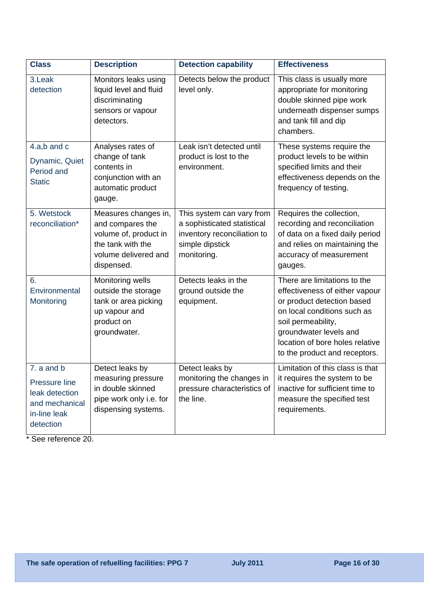| <b>Class</b>                                                                                 | <b>Description</b>                                                                                                           | <b>Detection capability</b>                                                                                               | <b>Effectiveness</b>                                                                                                                                                                                                                            |
|----------------------------------------------------------------------------------------------|------------------------------------------------------------------------------------------------------------------------------|---------------------------------------------------------------------------------------------------------------------------|-------------------------------------------------------------------------------------------------------------------------------------------------------------------------------------------------------------------------------------------------|
| 3.Leak<br>detection                                                                          | Monitors leaks using<br>liquid level and fluid<br>discriminating<br>sensors or vapour<br>detectors.                          | Detects below the product<br>level only.                                                                                  | This class is usually more<br>appropriate for monitoring<br>double skinned pipe work<br>underneath dispenser sumps<br>and tank fill and dip<br>chambers.                                                                                        |
| $4.a,b$ and $c$<br>Dynamic, Quiet<br>Period and<br><b>Static</b>                             | Analyses rates of<br>change of tank<br>contents in<br>conjunction with an<br>automatic product<br>gauge.                     | Leak isn't detected until<br>product is lost to the<br>environment.                                                       | These systems require the<br>product levels to be within<br>specified limits and their<br>effectiveness depends on the<br>frequency of testing.                                                                                                 |
| 5. Wetstock<br>reconciliation*                                                               | Measures changes in,<br>and compares the<br>volume of, product in<br>the tank with the<br>volume delivered and<br>dispensed. | This system can vary from<br>a sophisticated statistical<br>inventory reconciliation to<br>simple dipstick<br>monitoring. | Requires the collection,<br>recording and reconciliation<br>of data on a fixed daily period<br>and relies on maintaining the<br>accuracy of measurement<br>gauges.                                                                              |
| 6.<br>Environmental<br>Monitoring                                                            | Monitoring wells<br>outside the storage<br>tank or area picking<br>up vapour and<br>product on<br>groundwater.               | Detects leaks in the<br>ground outside the<br>equipment.                                                                  | There are limitations to the<br>effectiveness of either vapour<br>or product detection based<br>on local conditions such as<br>soil permeability,<br>groundwater levels and<br>location of bore holes relative<br>to the product and receptors. |
| 7. a and b<br>Pressure line<br>leak detection<br>and mechanical<br>in-line leak<br>detection | Detect leaks by<br>measuring pressure<br>in double skinned<br>pipe work only i.e. for<br>dispensing systems.                 | Detect leaks by<br>monitoring the changes in<br>pressure characteristics of<br>the line.                                  | Limitation of this class is that<br>it requires the system to be<br>inactive for sufficient time to<br>measure the specified test<br>requirements.                                                                                              |

\* See reference 20.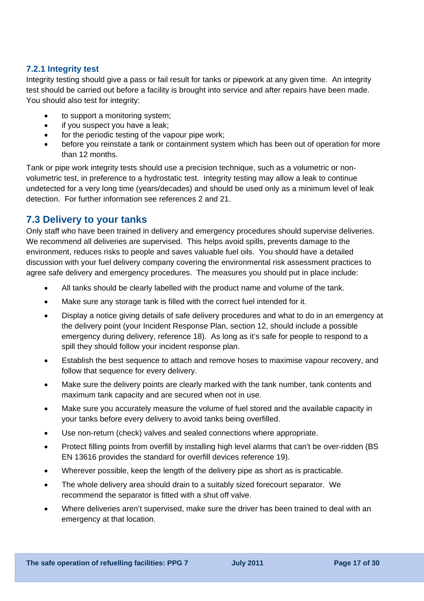#### **7.2.1 Integrity test**

Integrity testing should give a pass or fail result for tanks or pipework at any given time. An integrity test should be carried out before a facility is brought into service and after repairs have been made. You should also test for integrity:

- to support a monitoring system;
- if you suspect you have a leak;
- for the periodic testing of the vapour pipe work;
- before you reinstate a tank or containment system which has been out of operation for more than 12 months.

Tank or pipe work integrity tests should use a precision technique, such as a volumetric or nonvolumetric test, in preference to a hydrostatic test. Integrity testing may allow a leak to continue undetected for a very long time (years/decades) and should be used only as a minimum level of leak detection. For further information see references 2 and 21.

#### **7.3 Delivery to your tanks**

Only staff who have been trained in delivery and emergency procedures should supervise deliveries. We recommend all deliveries are supervised. This helps avoid spills, prevents damage to the environment, reduces risks to people and saves valuable fuel oils. You should have a detailed discussion with your fuel delivery company covering the environmental risk assessment practices to agree safe delivery and emergency procedures. The measures you should put in place include:

- All tanks should be clearly labelled with the product name and volume of the tank.
- Make sure any storage tank is filled with the correct fuel intended for it.
- Display a notice giving details of safe delivery procedures and what to do in an emergency at the delivery point (your Incident Response Plan, section 12, should include a possible emergency during delivery, reference 18). As long as it's safe for people to respond to a spill they should follow your incident response plan.
- Establish the best sequence to attach and remove hoses to maximise vapour recovery, and follow that sequence for every delivery.
- Make sure the delivery points are clearly marked with the tank number, tank contents and maximum tank capacity and are secured when not in use.
- Make sure you accurately measure the volume of fuel stored and the available capacity in your tanks before every delivery to avoid tanks being overfilled.
- Use non-return (check) valves and sealed connections where appropriate.
- Protect filling points from overfill by installing high level alarms that can't be over-ridden (BS EN 13616 provides the standard for overfill devices reference 19).
- Wherever possible, keep the length of the delivery pipe as short as is practicable.
- The whole delivery area should drain to a suitably sized forecourt separator. We recommend the separator is fitted with a shut off valve.
- Where deliveries aren't supervised, make sure the driver has been trained to deal with an emergency at that location.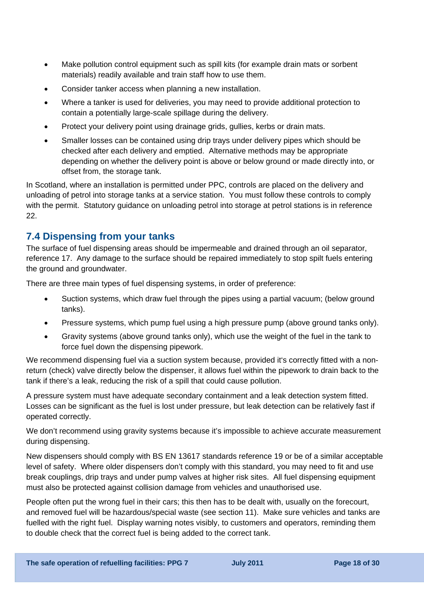- Make pollution control equipment such as spill kits (for example drain mats or sorbent materials) readily available and train staff how to use them.
- Consider tanker access when planning a new installation.
- Where a tanker is used for deliveries, you may need to provide additional protection to contain a potentially large-scale spillage during the delivery.
- Protect your delivery point using drainage grids, gullies, kerbs or drain mats.
- Smaller losses can be contained using drip trays under delivery pipes which should be checked after each delivery and emptied. Alternative methods may be appropriate depending on whether the delivery point is above or below ground or made directly into, or offset from, the storage tank.

In Scotland, where an installation is permitted under PPC, controls are placed on the delivery and unloading of petrol into storage tanks at a service station. You must follow these controls to comply with the permit. Statutory guidance on unloading petrol into storage at petrol stations is in reference 22.

### **7.4 Dispensing from your tanks**

The surface of fuel dispensing areas should be impermeable and drained through an oil separator, reference 17. Any damage to the surface should be repaired immediately to stop spilt fuels entering the ground and groundwater.

There are three main types of fuel dispensing systems, in order of preference:

- Suction systems, which draw fuel through the pipes using a partial vacuum; (below ground tanks).
- Pressure systems, which pump fuel using a high pressure pump (above ground tanks only).
- Gravity systems (above ground tanks only), which use the weight of the fuel in the tank to force fuel down the dispensing pipework.

We recommend dispensing fuel via a suction system because, provided it's correctly fitted with a nonreturn (check) valve directly below the dispenser, it allows fuel within the pipework to drain back to the tank if there's a leak, reducing the risk of a spill that could cause pollution.

A pressure system must have adequate secondary containment and a leak detection system fitted. Losses can be significant as the fuel is lost under pressure, but leak detection can be relatively fast if operated correctly.

We don't recommend using gravity systems because it's impossible to achieve accurate measurement during dispensing.

New dispensers should comply with BS EN 13617 standards reference 19 or be of a similar acceptable level of safety. Where older dispensers don't comply with this standard, you may need to fit and use break couplings, drip trays and under pump valves at higher risk sites. All fuel dispensing equipment must also be protected against collision damage from vehicles and unauthorised use.

People often put the wrong fuel in their cars; this then has to be dealt with, usually on the forecourt, and removed fuel will be hazardous/special waste (see section 11). Make sure vehicles and tanks are fuelled with the right fuel. Display warning notes visibly, to customers and operators, reminding them to double check that the correct fuel is being added to the correct tank.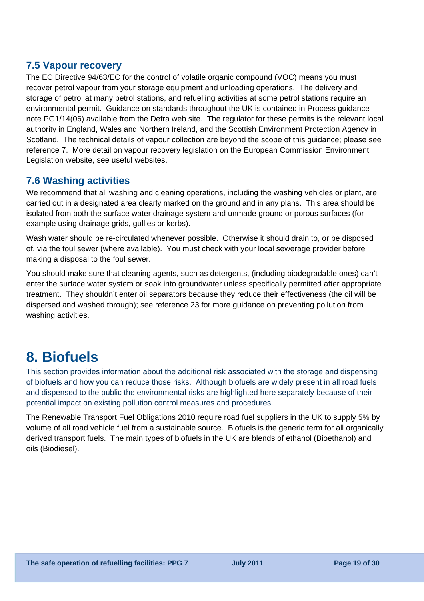### **7.5 Vapour recovery**

The EC Directive 94/63/EC for the control of volatile organic compound (VOC) means you must recover petrol vapour from your storage equipment and unloading operations. The delivery and storage of petrol at many petrol stations, and refuelling activities at some petrol stations require an environmental permit. Guidance on standards throughout the UK is contained in Process guidance note [PG1/14\(06\)](http://archive.defra.gov.uk/environment/quality/pollution/ppc/localauth/pubs/guidance/notes/pgnotes/documents/pg1-14.pdf) available from the Defra web site. The regulator for these permits is the relevant local authority in England, Wales and Northern Ireland, and the Scottish Environment Protection Agency in Scotland. The technical details of vapour collection are beyond the scope of this guidance; please see reference 7. More detail on vapour recovery legislation on the European Commission Environment Legislation website, see useful websites.

## **7.6 Washing activities**

We recommend that all washing and cleaning operations, including the washing vehicles or plant, are carried out in a designated area clearly marked on the ground and in any plans. This area should be isolated from both the surface water drainage system and unmade ground or porous surfaces (for example using drainage grids, gullies or kerbs).

Wash water should be re-circulated whenever possible. Otherwise it should drain to, or be disposed of, via the foul sewer (where available). You must check with your local sewerage provider before making a disposal to the foul sewer.

You should make sure that cleaning agents, such as detergents, (including biodegradable ones) can't enter the surface water system or soak into groundwater unless specifically permitted after appropriate treatment. They shouldn't enter oil separators because they reduce their effectiveness (the oil will be dispersed and washed through); see reference 23 for more guidance on preventing pollution from washing activities.

## **8. Biofuels**

This section provides information about the additional risk associated with the storage and dispensing of biofuels and how you can reduce those risks. Although biofuels are widely present in all road fuels and dispensed to the public the environmental risks are highlighted here separately because of their potential impact on existing pollution control measures and procedures.

The Renewable Transport Fuel Obligations 2010 require road fuel suppliers in the UK to supply 5% by volume of all road vehicle fuel from a sustainable source. Biofuels is the generic term for all organically derived transport fuels. The main types of biofuels in the UK are blends of ethanol (Bioethanol) and oils (Biodiesel).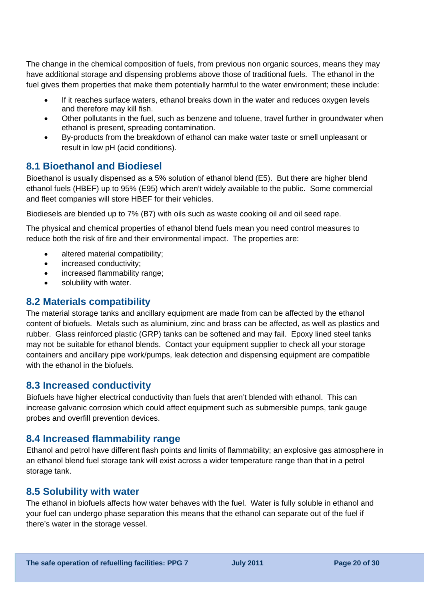The change in the chemical composition of fuels, from previous non organic sources, means they may have additional storage and dispensing problems above those of traditional fuels. The ethanol in the fuel gives them properties that make them potentially harmful to the water environment; these include:

- If it reaches surface waters, ethanol breaks down in the water and reduces oxygen levels and therefore may kill fish.
- Other pollutants in the fuel, such as benzene and toluene, travel further in groundwater when ethanol is present, spreading contamination.
- By-products from the breakdown of ethanol can make water taste or smell unpleasant or result in low pH (acid conditions).

### **8.1 Bioethanol and Biodiesel**

Bioethanol is usually dispensed as a 5% solution of ethanol blend (E5). But there are higher blend ethanol fuels (HBEF) up to 95% (E95) which aren't widely available to the public. Some commercial and fleet companies will store HBEF for their vehicles.

Biodiesels are blended up to 7% (B7) with oils such as waste cooking oil and oil seed rape.

The physical and chemical properties of ethanol blend fuels mean you need control measures to reduce both the risk of fire and their environmental impact. The properties are:

- altered material compatibility;
- increased conductivity;
- increased flammability range:
- solubility with water.

### **8.2 Materials compatibility**

The material storage tanks and ancillary equipment are made from can be affected by the ethanol content of biofuels. Metals such as aluminium, zinc and brass can be affected, as well as plastics and rubber. Glass reinforced plastic (GRP) tanks can be softened and may fail. Epoxy lined steel tanks may not be suitable for ethanol blends. Contact your equipment supplier to check all your storage containers and ancillary pipe work/pumps, leak detection and dispensing equipment are compatible with the ethanol in the biofuels.

### **8.3 Increased conductivity**

Biofuels have higher electrical conductivity than fuels that aren't blended with ethanol. This can increase galvanic corrosion which could affect equipment such as submersible pumps, tank gauge probes and overfill prevention devices.

### **8.4 Increased flammability range**

Ethanol and petrol have different flash points and limits of flammability; an explosive gas atmosphere in an ethanol blend fuel storage tank will exist across a wider temperature range than that in a petrol storage tank.

### **8.5 Solubility with water**

The ethanol in biofuels affects how water behaves with the fuel. Water is fully soluble in ethanol and your fuel can undergo phase separation this means that the ethanol can separate out of the fuel if there's water in the storage vessel.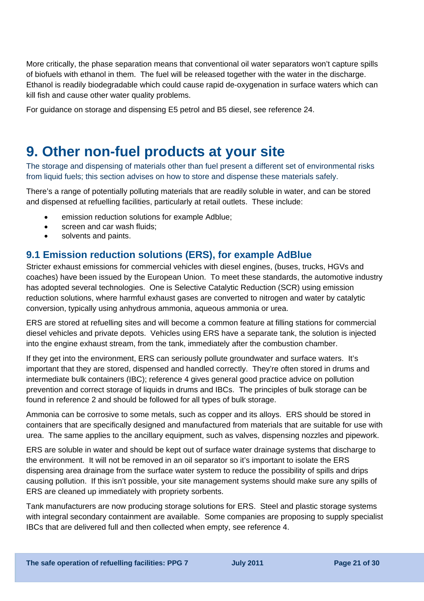More critically, the phase separation means that conventional oil water separators won't capture spills of biofuels with ethanol in them. The fuel will be released together with the water in the discharge. Ethanol is readily biodegradable which could cause rapid de-oxygenation in surface waters which can kill fish and cause other water quality problems.

For guidance on storage and dispensing E5 petrol and B5 diesel, see reference 24.

## **9. Other non-fuel products at your site**

The storage and dispensing of materials other than fuel present a different set of environmental risks from liquid fuels; this section advises on how to store and dispense these materials safely.

There's a range of potentially polluting materials that are readily soluble in water, and can be stored and dispensed at refuelling facilities, particularly at retail outlets. These include:

- emission reduction solutions for example Adblue;
- screen and car wash fluids:
- solvents and paints.

### **9.1 Emission reduction solutions (ERS), for example AdBlue**

Stricter exhaust emissions for commercial vehicles with diesel engines, (buses, trucks, HGVs and coaches) have been issued by the European Union. To meet these standards, the automotive industry has adopted several technologies. One is Selective Catalytic Reduction (SCR) using emission reduction solutions, where harmful exhaust gases are converted to nitrogen and water by catalytic conversion, typically using anhydrous ammonia, aqueous ammonia or urea.

ERS are stored at refuelling sites and will become a common feature at filling stations for commercial diesel vehicles and private depots. Vehicles using ERS have a separate tank, the solution is injected into the engine exhaust stream, from the tank, immediately after the combustion chamber.

If they get into the environment, ERS can seriously pollute groundwater and surface waters. It's important that they are stored, dispensed and handled correctly. They're often stored in drums and intermediate bulk containers (IBC); reference 4 gives general good practice advice on pollution prevention and correct storage of liquids in drums and IBCs. The principles of bulk storage can be found in reference 2 and should be followed for all types of bulk storage.

Ammonia can be corrosive to some metals, such as copper and its alloys. ERS should be stored in containers that are specifically designed and manufactured from materials that are suitable for use with urea. The same applies to the ancillary equipment, such as valves, dispensing nozzles and pipework.

ERS are soluble in water and should be kept out of surface water drainage systems that discharge to the environment. It will not be removed in an oil separator so it's important to isolate the ERS dispensing area drainage from the surface water system to reduce the possibility of spills and drips causing pollution. If this isn't possible, your site management systems should make sure any spills of ERS are cleaned up immediately with propriety sorbents.

Tank manufacturers are now producing storage solutions for ERS. Steel and plastic storage systems with integral secondary containment are available. Some companies are proposing to supply specialist IBCs that are delivered full and then collected when empty, see reference 4.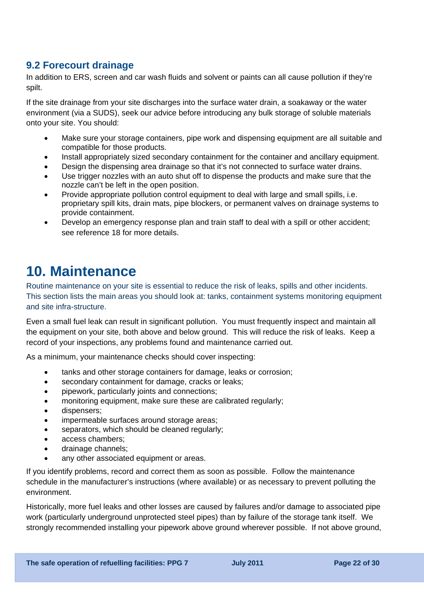## **9.2 Forecourt drainage**

In addition to ERS, screen and car wash fluids and solvent or paints can all cause pollution if they're spilt.

If the site drainage from your site discharges into the surface water drain, a soakaway or the water environment (via a SUDS), seek our advice before introducing any bulk storage of soluble materials onto your site. You should:

- Make sure your storage containers, pipe work and dispensing equipment are all suitable and compatible for those products.
- Install appropriately sized secondary containment for the container and ancillary equipment.
- Design the dispensing area drainage so that it's not connected to surface water drains.
- Use trigger nozzles with an auto shut off to dispense the products and make sure that the nozzle can't be left in the open position.
- Provide appropriate pollution control equipment to deal with large and small spills, i.e. proprietary spill kits, drain mats, pipe blockers, or permanent valves on drainage systems to provide containment.
- Develop an emergency response plan and train staff to deal with a spill or other accident; see reference 18 for more details.

## **10. Maintenance**

Routine maintenance on your site is essential to reduce the risk of leaks, spills and other incidents. This section lists the main areas you should look at: tanks, containment systems monitoring equipment and site infra-structure.

Even a small fuel leak can result in significant pollution. You must frequently inspect and maintain all the equipment on your site, both above and below ground. This will reduce the risk of leaks. Keep a record of your inspections, any problems found and maintenance carried out.

As a minimum, your maintenance checks should cover inspecting:

- tanks and other storage containers for damage, leaks or corrosion;
- secondary containment for damage, cracks or leaks;
- pipework, particularly joints and connections;
- monitoring equipment, make sure these are calibrated regularly;
- dispensers;
- impermeable surfaces around storage areas;
- separators, which should be cleaned regularly;
- access chambers;
- drainage channels;
- any other associated equipment or areas.

If you identify problems, record and correct them as soon as possible. Follow the maintenance schedule in the manufacturer's instructions (where available) or as necessary to prevent polluting the environment.

Historically, more fuel leaks and other losses are caused by failures and/or damage to associated pipe work (particularly underground unprotected steel pipes) than by failure of the storage tank itself. We strongly recommended installing your pipework above ground wherever possible. If not above ground,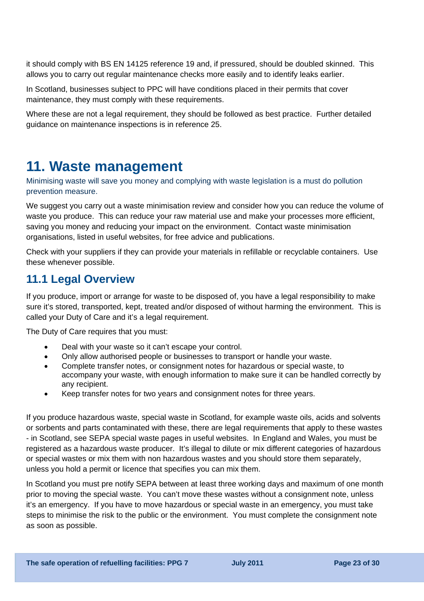it should comply with BS EN 14125 reference 19 and, if pressured, should be doubled skinned. This allows you to carry out regular maintenance checks more easily and to identify leaks earlier.

In Scotland, businesses subject to PPC will have conditions placed in their permits that cover maintenance, they must comply with these requirements.

Where these are not a legal requirement, they should be followed as best practice. Further detailed guidance on maintenance inspections is in reference 25.

## **11. Waste management**

Minimising waste will save you money and complying with waste legislation is a must do pollution prevention measure.

We suggest you carry out a waste minimisation review and consider how you can reduce the volume of waste you produce. This can reduce your raw material use and make your processes more efficient, saving you money and reducing your impact on the environment. Contact waste minimisation organisations, listed in useful websites, for free advice and publications.

Check with your suppliers if they can provide your materials in refillable or recyclable containers. Use these whenever possible.

## **11.1 Legal Overview**

If you produce, import or arrange for waste to be disposed of, you have a legal responsibility to make sure it's stored, transported, kept, treated and/or disposed of without harming the environment. This is called your Duty of Care and it's a legal requirement.

The Duty of Care requires that you must:

- Deal with your waste so it can't escape your control.
- Only allow authorised people or businesses to transport or handle your waste.
- Complete transfer notes, or consignment notes for hazardous or special waste, to accompany your waste, with enough information to make sure it can be handled correctly by any recipient.
- Keep transfer notes for two years and consignment notes for three years.

If you produce hazardous waste, special waste in Scotland, for example waste oils, acids and solvents or sorbents and parts contaminated with these, there are legal requirements that apply to these wastes - in Scotland, see SEPA special waste pages in useful websites. In England and Wales, you must be registered as a hazardous waste producer. It's illegal to dilute or mix different categories of hazardous or special wastes or mix them with non hazardous wastes and you should store them separately, unless you hold a permit or licence that specifies you can mix them.

In Scotland you must pre notify SEPA between at least three working days and maximum of one month prior to moving the special waste. You can't move these wastes without a consignment note, unless it's an emergency. If you have to move hazardous or special waste in an emergency, you must take steps to minimise the risk to the public or the environment. You must complete the consignment note as soon as possible.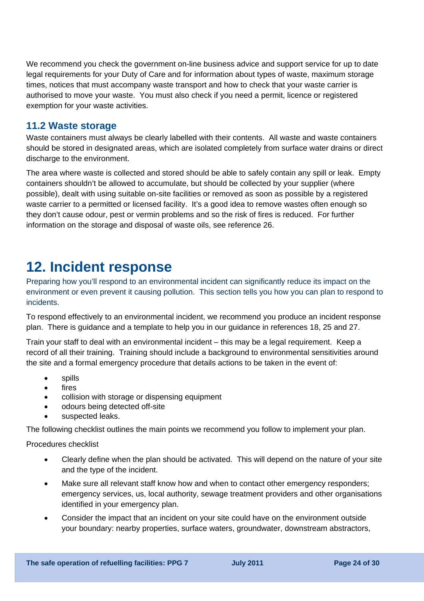We recommend you check the [government on-line business advice and support service](http://www.netregs.gov.uk/) for up to date legal requirements for your Duty of Care and for information about types of waste, maximum storage times, notices that must accompany waste transport and how to check that your waste carrier is authorised to move your waste. You must also check if you need a permit, licence or registered exemption for your waste activities.

### **11.2 Waste storage**

Waste containers must always be clearly labelled with their contents. All waste and waste containers should be stored in designated areas, which are isolated completely from surface water drains or direct discharge to the environment.

The area where waste is collected and stored should be able to safely contain any spill or leak. Empty containers shouldn't be allowed to accumulate, but should be collected by your supplier (where possible), dealt with using suitable on-site facilities or removed as soon as possible by a registered waste carrier to a permitted or licensed facility. It's a good idea to remove wastes often enough so they don't cause odour, pest or vermin problems and so the risk of fires is reduced. For further information on the storage and disposal of waste oils, see reference 26.

## **12. Incident response**

Preparing how you'll respond to an environmental incident can significantly reduce its impact on the environment or even prevent it causing pollution. This section tells you how you can plan to respond to incidents.

To respond effectively to an environmental incident, we recommend you produce an incident response plan. There is guidance and a template to help you in our guidance in references 18, 25 and 27.

Train your staff to deal with an environmental incident – this may be a legal requirement. Keep a record of all their training. Training should include a background to environmental sensitivities around the site and a formal emergency procedure that details actions to be taken in the event of:

- spills
- fires
- collision with storage or dispensing equipment
- odours being detected off-site
- suspected leaks.

The following checklist outlines the main points we recommend you follow to implement your plan.

Procedures checklist

- Clearly define when the plan should be activated. This will depend on the nature of your site and the type of the incident.
- Make sure all relevant staff know how and when to contact other emergency responders; emergency services, us, local authority, sewage treatment providers and other organisations identified in your emergency plan.
- Consider the impact that an incident on your site could have on the environment outside your boundary: nearby properties, surface waters, groundwater, downstream abstractors,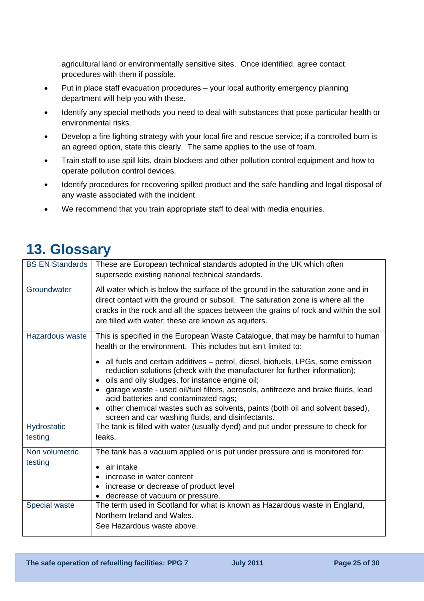agricultural land or environmentally sensitive sites. Once identified, agree contact procedures with them if possible.

- Put in place staff evacuation procedures your local authority emergency planning department will help you with these.
- Identify any special methods you need to deal with substances that pose particular health or environmental risks.
- Develop a fire fighting strategy with your local fire and rescue service; if a controlled burn is an agreed option, state this clearly. The same applies to the use of foam.
- Train staff to use spill kits, drain blockers and other pollution control equipment and how to operate pollution control devices.
- Identify procedures for recovering spilled product and the safe handling and legal disposal of any waste associated with the incident.
- We recommend that you train appropriate staff to deal with media enquiries.

## **13. Glossary**

| <b>BS EN Standards</b> | These are European technical standards adopted in the UK which often<br>supersede existing national technical standards.                                                                                                                                                                                           |
|------------------------|--------------------------------------------------------------------------------------------------------------------------------------------------------------------------------------------------------------------------------------------------------------------------------------------------------------------|
| Groundwater            | All water which is below the surface of the ground in the saturation zone and in<br>direct contact with the ground or subsoil. The saturation zone is where all the<br>cracks in the rock and all the spaces between the grains of rock and within the soil<br>are filled with water; these are known as aquifers. |
| Hazardous waste        | This is specified in the European Waste Catalogue, that may be harmful to human<br>health or the environment. This includes but isn't limited to:                                                                                                                                                                  |
|                        | • all fuels and certain additives – petrol, diesel, biofuels, LPGs, some emission<br>reduction solutions (check with the manufacturer for further information);<br>oils and oily sludges, for instance engine oil;                                                                                                 |
|                        | garage waste - used oil/fuel filters, aerosols, antifreeze and brake fluids, lead<br>$\bullet$<br>acid batteries and contaminated rags;                                                                                                                                                                            |
|                        | other chemical wastes such as solvents, paints (both oil and solvent based),<br>$\bullet$<br>screen and car washing fluids, and disinfectants.                                                                                                                                                                     |
| Hydrostatic            | The tank is filled with water (usually dyed) and put under pressure to check for                                                                                                                                                                                                                                   |
| testing                | leaks.                                                                                                                                                                                                                                                                                                             |
| Non volumetric         | The tank has a vacuum applied or is put under pressure and is monitored for:                                                                                                                                                                                                                                       |
| testing                | air intake<br>$\bullet$                                                                                                                                                                                                                                                                                            |
|                        | increase in water content                                                                                                                                                                                                                                                                                          |
|                        | increase or decrease of product level<br>$\bullet$<br>decrease of vacuum or pressure.<br>$\bullet$                                                                                                                                                                                                                 |
| Special waste          | The term used in Scotland for what is known as Hazardous waste in England,<br>Northern Ireland and Wales.<br>See Hazardous waste above.                                                                                                                                                                            |
|                        |                                                                                                                                                                                                                                                                                                                    |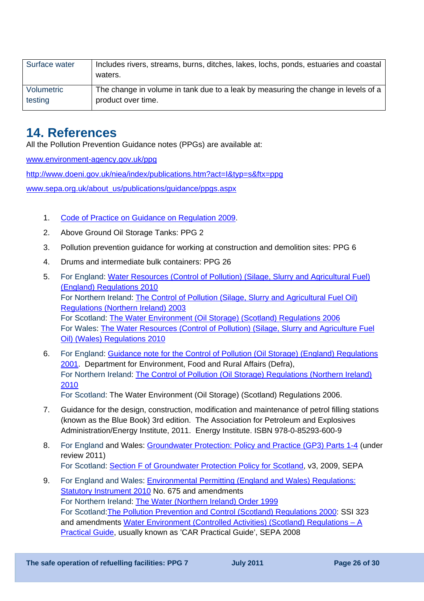| Surface water | Includes rivers, streams, burns, ditches, lakes, lochs, ponds, estuaries and coastal<br>waters. |
|---------------|-------------------------------------------------------------------------------------------------|
| Volumetric    | The change in volume in tank due to a leak by measuring the change in levels of a               |
| testing       | product over time.                                                                              |

## **14. References**

All the Pollution Prevention Guidance notes (PPGs) are available at:

[www.environment-agency.gov.uk/ppg](http://www.environment-agency.gov.uk/ppg)

<http://www.doeni.gov.uk/niea/index/publications.htm?act=I&typ=s&ftx=ppg>

[www.sepa.org.uk/about\\_us/publications/guidance/ppgs.aspx](http://www.sepa.org.uk/about_us/publications/guidance/ppgs.aspx) 

- 1. [Code of Practice on Guidance on Regulation 2009.](http://www.bis.gov.uk/files/file53268.pdf)
- 2. Above Ground Oil Storage Tanks: PPG 2
- 3. Pollution prevention guidance for working at construction and demolition sites: PPG 6
- 4. Drums and intermediate bulk containers: PPG 26
- 5. For England: [Water Resources \(Control of Pollution\) \(Silage, Slurry and Agricultural Fuel\)](http://www.legislation.gov.uk/uksi/2010/1091/contents/madeOil)  [\(England\) Regulations 2010](http://www.legislation.gov.uk/uksi/2010/1091/contents/madeOil)  For Northern Ireland: [The Control of Pollution \(Silage, Slurry and Agricultural Fuel Oil\)](http://www.legislation.gov.uk/nisr/2003/319/contents/made)  [Regulations \(Northern Ireland\) 2003](http://www.legislation.gov.uk/nisr/2003/319/contents/made)  For Scotland: [The Water Environment \(Oil Storage\) \(Scotland\) Regulations 2006](http://www.legislation.gov.uk/ssi/2006/133/contents/made) For Wales: [The Water Resources \(Control of Pollution\) \(Silage, Slurry and Agriculture Fuel](http://www.legislation.gov.uk/wsi/2010/1493/contents/made)  [Oil\) \(Wales\) Regulations 2010](http://www.legislation.gov.uk/wsi/2010/1493/contents/made)
- 6. For England: [Guidance note for the Control of Pollution \(Oil Storage\) \(England\) Regulations](http://archive.defra.gov.uk/environment/quality/water/waterquality/oilstore/documents/oil_store.pdf)  [2001.](http://archive.defra.gov.uk/environment/quality/water/waterquality/oilstore/documents/oil_store.pdf) Department for Environment, Food and Rural Affairs (Defra), For Northern Ireland: [The Control of Pollution \(Oil Storage\) Regulations \(Northern Ireland\)](http://www.legislation.gov.uk/nisr/2010/412/contents/made)  [2010](http://www.legislation.gov.uk/nisr/2010/412/contents/made)  For Scotland: [The Water Environment \(Oil Storage\) \(Scotland\) Regulations 2006](http://www.legislation.gov.uk/ssi/2006/133/contents/made).
- 7. Guidance for the design, construction, modification and maintenance of petrol filling stations (known as the Blue Book) 3rd edition. The Association for Petroleum and Explosives Administration/Energy Institute, 2011. Energy Institute. ISBN 978-0-85293-600-9
- 8. For England and Wales: [Groundwater Protection: Policy and Practice \(GP3\) Parts 1-4](http://www.environment-agency.gov.uk/research/library/publications/40741.aspx) (under review 2011) For Scotland: [Section F of Groundwater Protection Policy for Scotland,](http://www.sepa.org.uk/water/water_regulation/regimes/groundwater/idoc.ashx?docid=0b7d7921-b09d-4aaf-9f08-396e336565de&version=-1) v3, 2009, SEPA
- 9. For England and Wales: [Environmental Permitting \(England and Wales\) Regulations:](http://www.opsi.gov.uk/si/si2010/pdf/uksi_20100675_en.pdf)  [Statutory Instrument 2010](http://www.opsi.gov.uk/si/si2010/pdf/uksi_20100675_en.pdf) No. 675 and amendments For Northern Ireland: [The Water \(Northern Ireland\) Order 1999](http://www.legislation.gov.uk/Norther%20Ireland%20Order) For Scotland:[The Pollution Prevention and Control \(Scotland\) Regulations 2000](http://www.legislation.gov.uk/ssi/2000/323/contents/made): SSI 323 and amendments [Water Environment \(Controlled Activities\) \(Scotland\) Regulations – A](http://www.sepa.org.uk/water/water_regulation.aspx)  [Practical Guide,](http://www.sepa.org.uk/water/water_regulation.aspx) usually known as 'CAR Practical Guide', SEPA 2008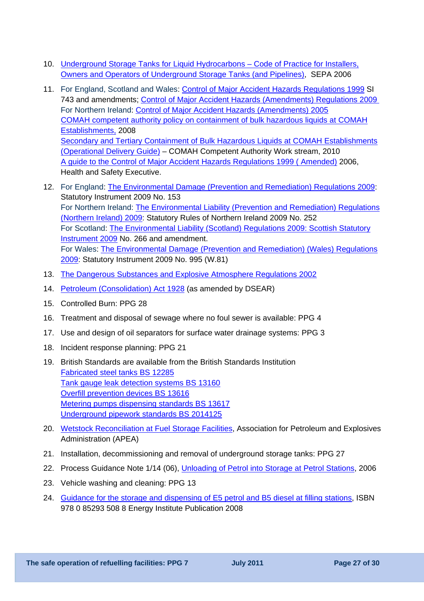- 10. Underground Storage Tanks for Liquid Hydrocarbons Code of Practice for Installers, [Owners and Operators of Underground Storage Tanks \(and Pipelines\)](http://www.sepa.org.uk/water/water_regulation/regimes/pollution_control/oil_storage.aspx), SEPA 2006
- 11. For England, Scotland and Wales: [Control of Major Accident Hazards Regulations 1999](http://www.legislation.gov.uk/uksi/1999/743/contents/made) SI 743 and amendments; [Control of Major Accident Hazards \(Amendments\) Regulations 2009](http://www.legislation.gov.uk/uksi/2009/1595/made)  For Northern Ireland: [Control of Major Accident Hazards \(Amendments\) 2005](http://www.legislation.gov.uk/nisr/2005/305/contents/made)  [COMAH competent authority policy on containment of bulk hazardous liquids at COMAH](http://www.environment-agency.gov.uk/static/documents/Business/containmentpolicy_1961223.pdf)  [Establishments,](http://www.environment-agency.gov.uk/static/documents/Business/containmentpolicy_1961223.pdf) 2008 [Secondary and Tertiary Containment of Bulk Hazardous Liquids at COMAH Establishments](http://www.hse.gov.uk/comah/guidance/bulk-hazardous-liquids.pdf)  [\(Operational Delivery Guide\)](http://www.hse.gov.uk/comah/guidance/bulk-hazardous-liquids.pdf) – COMAH Competent Authority Work stream, 2010 [A guide to the Control of Major Accident Hazards Regulations 1999 \( Amended\)](http://www.hse.gov.uk/pubns/books/l111.htm%2016) 2006, Health and Safety Executive.
- 12. For England: [The Environmental Damage \(Prevention and Remediation\) Regulations 2009](http://www.opsi.gov.uk/si/si2009/uksi_20090153_en_1): Statutory Instrument 2009 No. 153 For Northern Ireland: [The Environmental Liability \(Prevention and Remediation\) Regulations](http://www.opsi.gov.uk/sr/sr2009/nisr_20090252_en_1)  [\(Northern Ireland\) 2009:](http://www.opsi.gov.uk/sr/sr2009/nisr_20090252_en_1) Statutory Rules of Northern Ireland 2009 No. 252 For Scotland: [The Environmental Liability \(Scotland\) Regulations 2009: Scottish Statutory](http://www.legislation.gov.uk/ssi/2009/266/contents/made)  [Instrument 2009](http://www.legislation.gov.uk/ssi/2009/266/contents/made) No. 266 and amendment. For Wales: [The Environmental Damage \(Prevention and Remediation\) \(Wales\) Regulations](http://www.opsi.gov.uk/legislation/wales/wsi2009/wsi_20090995_en_1)  [2009:](http://www.opsi.gov.uk/legislation/wales/wsi2009/wsi_20090995_en_1) Statutory Instrument 2009 No. 995 (W.81)
- 13. [The Dangerous Substances and Explosive Atmosphere Regulations 2002](http://www.legislation.gov.uk/uksi/2002/2776/contents/made)
- 14. [Petroleum \(Consolidation\) Act 1928](http://www.hse.gov.uk/fireandexplosion/petroleum.htm#consolidation) (as amended by DSEAR)
- 15. Controlled Burn: PPG 28
- 16. Treatment and disposal of sewage where no foul sewer is available: PPG 4
- 17. Use and design of oil separators for surface water drainage systems: PPG 3
- 18. Incident response planning: PPG 21
- 19. British Standards are available from the British Standards Institution [Fabricated steel tanks BS 12285](http://shop.bsigroup.com/en/SearchResults/?q=BS%20EN%2012285) [Tank gauge leak detection systems BS 13160](http://shop.bsigroup.com/en/SearchResults/?q=BSEN13160) [Overfill prevention devices BS 13616](http://shop.bsigroup.com/en/SearchResults/?q=BSEN13616) [Metering pumps dispensing standards BS 13617](http://shop.bsigroup.com/SearchResults/?q=BSEN13617) [Underground pipework standards BS 2014125](http://shop.bsigroup.com/en/SearchResults/?q=BSEN%2014125)
- 20. [Wetstock Reconciliation at Fuel Storage Facilities](http://publications.environment-agency.gov.uk/PDF/PMHO1102BGUY-E-E.pdf), Association for Petroleum and Explosives Administration (APEA)
- 21. Installation, decommissioning and removal of underground storage tanks: PPG 27
- 22. Process Guidance Note 1/14 (06), [Unloading of Petrol into Storage at Petrol Stations](http://archive.defra.gov.uk/environment/quality/pollution/ppc/localauth/pubs/guidance/notes/pgnotes/documents/pg1-14.pdf), 2006
- 23. Vehicle washing and cleaning: PPG 13
- 24. [Guidance for the storage and dispensing of E5 petrol and B5 diesel at filling stations,](http://www.energyinstpubs.org.uk/pdfs/804.pdf) ISBN 978 0 85293 508 8 Energy Institute Publication 2008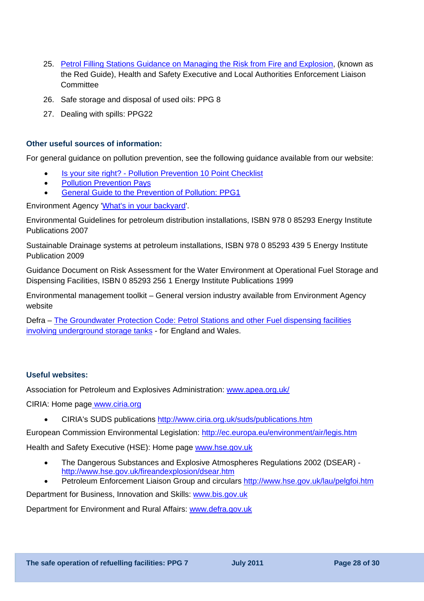- 25. [Petrol Filling Stations Guidance on Managing the Risk from Fire and Explosion,](http://www.hse.gov.uk/lau/lacs/65-58.htm) (known as the Red Guide), Health and Safety Executive and Local Authorities Enforcement Liaison **Committee**
- 26. Safe storage and disposal of used oils: PPG 8
- 27. Dealing with spills: PPG22

#### **Other useful sources of information:**

For general guidance on pollution prevention, see the following guidance available from our website:

- [Is your site right? Pollution Prevention 10 Point Checklist](http://www.environment-agency.gov.uk/static/documents/Business/is_your_site_right_1262949.pdf)
- Pollution Prevention Pays
- [General Guide to the Prevention of Pollution: PPG1](http://publications.environment-agency.gov.uk/PDF/PMHO0501BFOX-E-E.pdf)

Environment Agency '[What's in your backyard](http://www.environment-agency.gov.uk/homeandleisure/37793.aspx)'.

Environmental Guidelines for petroleum distribution installations, ISBN 978 0 85293 Energy Institute Publications 2007

Sustainable Drainage systems at petroleum installations, ISBN 978 0 85293 439 5 Energy Institute Publication 2009

Guidance Document on Risk Assessment for the Water Environment at Operational Fuel Storage and Dispensing Facilities, ISBN 0 85293 256 1 Energy Institute Publications 1999

Environmental management toolkit – General version industry available from Environment Agency website

Defra – [The Groundwater Protection Code: Petrol Stations and other Fuel dispensing facilities](http://archive.defra.gov.uk/environment/quality/water/waterquality/ground/documents/groundwater-petrol.pdf)  [involving underground storage tanks](http://archive.defra.gov.uk/environment/quality/water/waterquality/ground/documents/groundwater-petrol.pdf) - for England and Wales.

#### **Useful websites:**

Association for Petroleum and Explosives Administration: [www.apea.org.uk/](http://www.apea.org.uk/)

CIRIA: Home page [www.ciria.org](http://www.ciria.org/service/Home/AM/ContentManagerNet/HomePages/CIRIA_1502_20080929T115140HomePage.aspx?Section=Home)

• CIRIA's SUDS publications<http://www.ciria.org.uk/suds/publications.htm>

European Commission Environmental Legislation:<http://ec.europa.eu/environment/air/legis.htm>

Health and Safety Executive (HSE): Home page [www.hse.gov.uk](http://www.hse.gov.uk/)

- The Dangerous Substances and Explosive Atmospheres Regulations 2002 (DSEAR) <http://www.hse.gov.uk/fireandexplosion/dsear.htm>
- Petroleum Enforcement Liaison Group and circulars http://www.hse.gov.uk/lau/pelgfoi.htm

Department for Business, Innovation and Skills: [www.bis.gov.uk](http://www.bis.gov.uk/)

Department for Environment and Rural Affairs: [www.defra.gov.uk](http://www.defra.gov.uk/index-old.htm)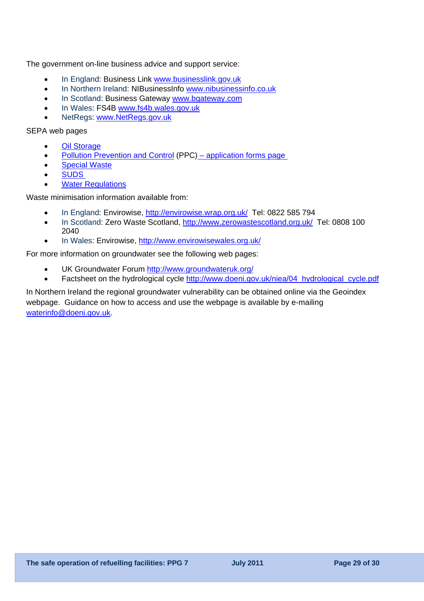The government on-line business advice and support service:

- In England: Business Link [www.businesslink.gov.uk](http://www.businesslink.gov.uk/)
- In Northern Ireland: NIBusinessInfo [www.nibusinessinfo.co.uk](http://www.nibusinessinfo.co.uk/)
- In Scotland: Business Gateway www.bgateway.com
- In Wales: FS4B [www.fs4b.wales.gov.uk](http://www.fs4b.wales.gov.uk/)
- NetRegs: www.NetRegs.gov.uk

SEPA web pages

- **Oil Storage**
- Pollution Prevention and Control (PPC) application forms page
- [Special Waste](http://www.sepa.org.uk/waste/waste_regulation/special_waste.aspx)
- [SUDS](http://www.sepa.org.uk/water/water_regulation/regimes/pollution_control/suds.aspx)
- **[Water Regulations](http://www.sepa.org.uk/water/water_regulation.aspx)**

Waste minimisation information available from:

- In England: Envirowise, <http://envirowise.wrap.org.uk/>Tel: 0822 585 794
- In Scotland: Zero Waste Scotland, http://www.zerowastescotland.org.uk/ Tel: 0808 100 2040
- In Wales: Envirowise, <http://www.envirowisewales.org.uk/>

For more information on groundwater see the following web pages:

- UK Groundwater Forum<http://www.groundwateruk.org/>
- Factsheet on the hydrological cycle [http://www.doeni.gov.uk/niea/04\\_hydrological\\_cycle.pdf](http://www.doeni.gov.uk/niea/04_hydrological_cycle.pdf)

In Northern Ireland the regional groundwater vulnerability can be obtained online via the Geoindex webpage. Guidance on how to access and use the webpage is available by e-mailing [waterinfo@doeni.gov.uk](mailto:waterinfo@doeni.gov.uk).